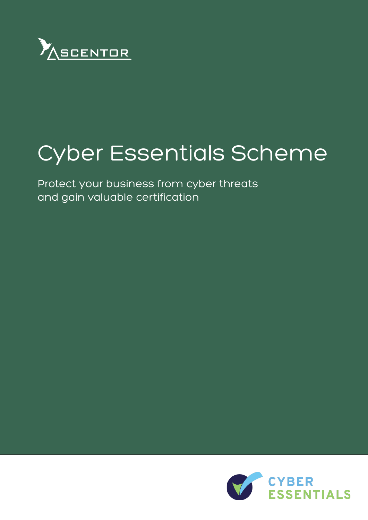

# Cyber Essentials Scheme

Protect your business from cyber threats and gain valuable certification

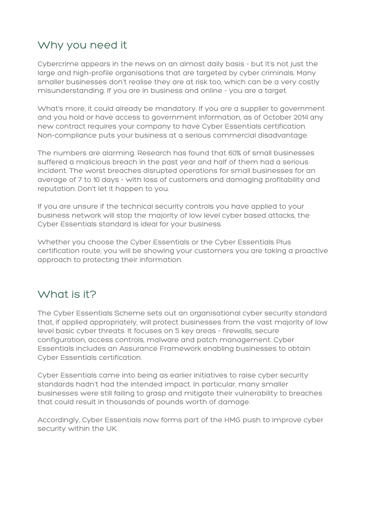# Why you need it

Cybercrime appears in the news on an almost daily basis - but it's not just the large and high-profile organisations that are targeted by cyber criminals. Many smaller businesses don't realise they are at risk too, which can be a very costly misunderstanding. If you are in business and online - you are a target.

What's more, it could already be mandatory. If you are a supplier to government and you hold or have access to government information, as of October 2014 any new contract requires your company to have Cyber Essentials certification. Non-compliance puts your business at a serious commercial disadvantage.

The numbers are alarming. Research has found that 60% of small businesses suffered a malicious breach in the past year and half of them had a serious incident. The worst breaches disrupted operations for small businesses for an average of 7 to 10 days - with loss of customers and damaging profitability and reputation. Don't let it happen to you.

If you are unsure if the technical security controls you have applied to your business network will stop the majority of low level cyber based attacks, the Cyber Essentials standard is ideal for your business.

Whether you choose the Cyber Essentials or the Cyber Essentials Plus certification route, you will be showing your customers you are taking a proactive approach to protecting their information.

## What is it?

The Cyber Essentials Scheme sets out an organisational cyber security standard that, if applied appropriately, will protect businesses from the vast majority of low level basic cyber threats. It focuses on 5 key areas - firewalls, secure configuration, access controls, malware and patch management. Cyber Essentials includes an Assurance Framework enabling businesses to obtain Cyber Essentials certification.

Cyber Essentials came into being as earlier initiatives to raise cyber security standards hadn't had the intended impact. In particular, many smaller businesses were still failing to grasp and mitigate their vulnerability to breaches that could result in thousands of pounds worth of damage.

Accordingly, Cyber Essentials now forms part of the HMG push to improve cyber security within the UK.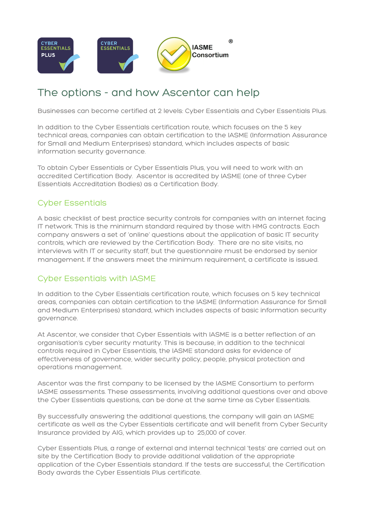

# The options - and how Ascentor can help

Businesses can become certified at 2 levels: Cyber Essentials and Cyber Essentials Plus.

In addition to the Cyber Essentials certification route, which focuses on the 5 key technical areas, companies can obtain certification to the IASME (Information Assurance for Small and Medium Enterprises) standard, which includes aspects of basic information security governance.

To obtain Cyber Essentials or Cyber Essentials Plus, you will need to work with an accredited Certification Body. Ascentor is accredited by IASME (one of three Cyber Essentials Accreditation Bodies) as a Certification Body.

#### Cyber Essentials

A basic checklist of best practice security controls for companies with an internet facing IT network. This is the minimum standard required by those with HMG contracts. Each company answers a set of 'online' questions about the application of basic IT security controls, which are reviewed by the Certification Body. There are no site visits, no interviews with IT or security staff, but the questionnaire must be endorsed by senior management. If the answers meet the minimum requirement, a certificate is issued.

#### Cyber Essentials with IASME

In addition to the Cyber Essentials certification route, which focuses on 5 key technical areas, companies can obtain certification to the IASME (Information Assurance for Small and Medium Enterprises) standard, which includes aspects of basic information security governance.

At Ascentor, we consider that Cyber Essentials with IASME is a better reflection of an organisation's cyber security maturity. This is because, in addition to the technical controls required in Cyber Essentials, the IASME standard asks for evidence of effectiveness of governance, wider security policy, people, physical protection and operations management.

Ascentor was the first company to be licensed by the IASME Consortium to perform IASME assessments. These assessments, involving additional questions over and above the Cyber Essentials questions, can be done at the same time as Cyber Essentials.

By successfully answering the additional questions, the company will gain an IASME certificate as well as the Cyber Essentials certificate and will benefit from Cyber Security Insurance provided by AIG, which provides up to £25,000 of cover.

Cyber Essentials Plus, a range of external and internal technical 'tests' are carried out on site by the Certification Body to provide additional validation of the appropriate application of the Cyber Essentials standard. If the tests are successful, the Certification Body awards the Cyber Essentials Plus certificate.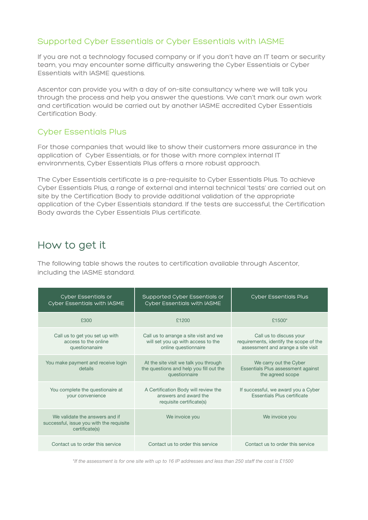#### Supported Cyber Essentials or Cyber Essentials with IASME

If you are not a technology focused company or if you don't have an IT team or security team, you may encounter some difficulty answering the Cyber Essentials or Cyber Essentials with IASME questions.

Ascentor can provide you with a day of on-site consultancy where we will talk you through the process and help you answer the questions. We can't mark our own work and certification would be carried out by another IASME accredited Cyber Essentials Certification Body.

#### Cyber Essentials Plus

For those companies that would like to show their customers more assurance in the application of Cyber Essentials, or for those with more complex internal IT environments, Cyber Essentials Plus offers a more robust approach.

The Cyber Essentials certificate is a pre-requisite to Cyber Essentials Plus. To achieve Cyber Essentials Plus, a range of external and internal technical 'tests' are carried out on site by the Certification Body to provide additional validation of the appropriate application of the Cyber Essentials standard. If the tests are successful, the Certification Body awards the Cyber Essentials Plus certificate.

### How to get it

The following table shows the routes to certification available through Ascentor, including the IASME standard.

| <b>Cyber Essentials or</b><br><b>Cyber Essentials with IASME</b>                             | Supported Cyber Essentials or<br><b>Cyber Essentials with IASME</b>                                  | <b>Cyber Essentials Plus</b>                                                                             |
|----------------------------------------------------------------------------------------------|------------------------------------------------------------------------------------------------------|----------------------------------------------------------------------------------------------------------|
| £300                                                                                         | £1200                                                                                                | £1500*                                                                                                   |
| Call us to get you set up with<br>access to the online<br>questionanaire                     | Call us to arrange a site visit and we<br>will set you up with access to the<br>online questionnaire | Call us to discuss your<br>requirements, identify the scope of the<br>assessment and arange a site visit |
| You make payment and receive login<br>details                                                | At the site visit we talk you through<br>the questions and help you fill out the<br>questionnaire    | We carry out the Cyber<br>Essentials Plus assessment against<br>the agreed scope                         |
| You complete the questionaire at<br>your convenience                                         | A Certification Body will review the<br>answers and award the<br>requisite certificate(s)            | If successful, we award you a Cyber<br>Essentials Plus certificate                                       |
| We validate the answers and if<br>successful, issue you with the requisite<br>certificate(s) | We invoice you                                                                                       | We invoice you                                                                                           |
| Contact us to order this service                                                             | Contact us to order this service                                                                     | Contact us to order this service                                                                         |

*\*If the assessment is for one site with up to 16 IP addresses and less than 250 staff the cost is £1500*